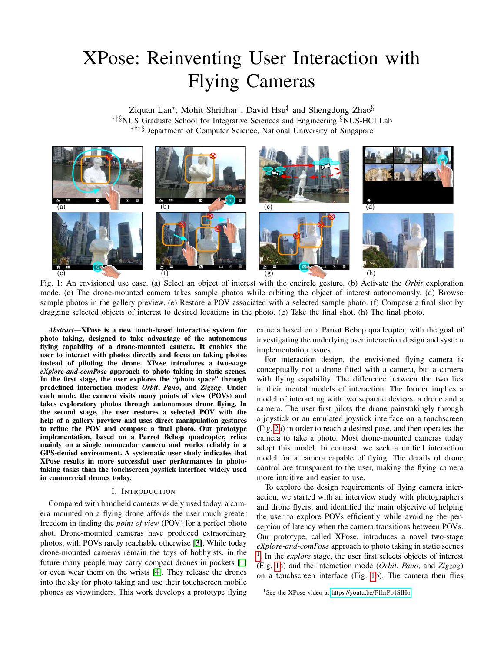# XPose: Reinventing User Interaction with Flying Cameras

Ziquan Lan<sup>∗</sup>, Mohit Shridhar<sup>†</sup>, David Hsu<sup>‡</sup> and Shengdong Zhao<sup>§</sup> ∗‡§NUS Graduate School for Integrative Sciences and Engineering §NUS-HCI Lab ∗†‡§Department of Computer Science, National University of Singapore



Fig. 1: An envisioned use case. (a) Select an object of interest with the encircle gesture. (b) Activate the *Orbit* exploration mode. (c) The drone-mounted camera takes sample photos while orbiting the object of interest autonomously. (d) Browse sample photos in the gallery preview. (e) Restore a POV associated with a selected sample photo. (f) Compose a final shot by dragging selected objects of interest to desired locations in the photo. (g) Take the final shot. (h) The final photo.

<span id="page-0-1"></span>*Abstract*—XPose is a new touch-based interactive system for photo taking, designed to take advantage of the autonomous flying capability of a drone-mounted camera. It enables the user to interact with photos directly and focus on taking photos instead of piloting the drone. XPose introduces a two-stage *eXplore-and-comPose* approach to photo taking in static scenes. In the first stage, the user explores the "photo space" through predefined interaction modes: *Orbit*, *Pano*, and *Zigzag*. Under each mode, the camera visits many points of view (POVs) and takes exploratory photos through autonomous drone flying. In the second stage, the user restores a selected POV with the help of a gallery preview and uses direct manipulation gestures to refine the POV and compose a final photo. Our prototype implementation, based on a Parrot Bebop quadcopter, relies mainly on a single monocular camera and works reliably in a GPS-denied environment. A systematic user study indicates that XPose results in more successful user performances in phototaking tasks than the touchscreen joystick interface widely used in commercial drones today.

## I. INTRODUCTION

Compared with handheld cameras widely used today, a camera mounted on a flying drone affords the user much greater freedom in finding the *point of view* (POV) for a perfect photo shot. Drone-mounted cameras have produced extraordinary photos, with POVs rarely reachable otherwise [\[3\]](#page-8-0). While today drone-mounted cameras remain the toys of hobbyists, in the future many people may carry compact drones in pockets [\[1\]](#page-8-1) or even wear them on the wrists [\[4\]](#page-8-2). They release the drones into the sky for photo taking and use their touchscreen mobile phones as viewfinders. This work develops a prototype flying camera based on a Parrot Bebop quadcopter, with the goal of investigating the underlying user interaction design and system implementation issues.

For interaction design, the envisioned flying camera is conceptually not a drone fitted with a camera, but a camera with flying capability. The difference between the two lies in their mental models of interaction. The former implies a model of interacting with two separate devices, a drone and a camera. The user first pilots the drone painstakingly through a joystick or an emulated joystick interface on a touchscreen (Fig. [2a](#page-1-0)) in order to reach a desired pose, and then operates the camera to take a photo. Most drone-mounted cameras today adopt this model. In contrast, we seek a unified interaction model for a camera capable of flying. The details of drone control are transparent to the user, making the flying camera more intuitive and easier to use.

To explore the design requirements of flying camera interaction, we started with an interview study with photographers and drone flyers, and identified the main objective of helping the user to explore POVs efficiently while avoiding the perception of latency when the camera transitions between POVs. Our prototype, called XPose, introduces a novel two-stage *eXplore-and-comPose* approach to photo taking in static scenes <sup>[1](#page-0-0)</sup>. In the *explore* stage, the user first selects objects of interest (Fig. [1a](#page-0-1)) and the interaction mode (*Orbit*, *Pano*, and *Zigzag*) on a touchscreen interface (Fig. [1b](#page-0-1)). The camera then flies

<span id="page-0-0"></span><sup>1</sup>See the XPose video at [https://youtu.be/F1hrPb1SlHo.](https://youtu.be/F1hrPb1SlHo)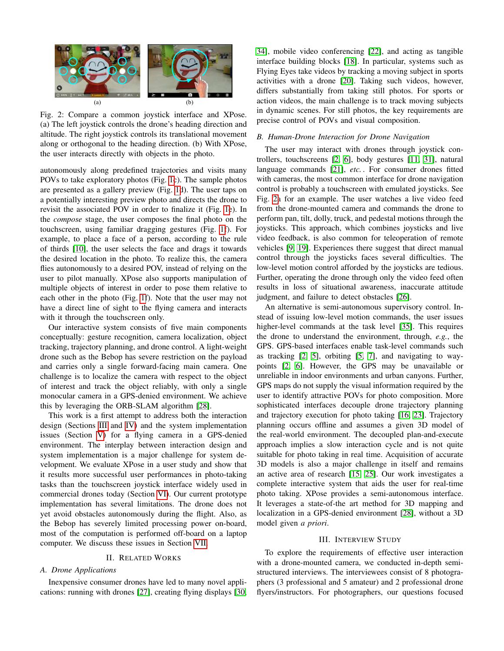<span id="page-1-0"></span>

Fig. 2: Compare a common joystick interface and XPose. (a) The left joystick controls the drone's heading direction and altitude. The right joystick controls its translational movement along or orthogonal to the heading direction. (b) With XPose, the user interacts directly with objects in the photo.

autonomously along predefined trajectories and visits many POVs to take exploratory photos (Fig. [1c](#page-0-1)). The sample photos are presented as a gallery preview (Fig. [1d](#page-0-1)). The user taps on a potentially interesting preview photo and directs the drone to revisit the associated POV in order to finalize it (Fig. [1e](#page-0-1)). In the *compose* stage, the user composes the final photo on the touchscreen, using familiar dragging gestures (Fig. [1f](#page-0-1)). For example, to place a face of a person, according to the rule of thirds [\[10\]](#page-8-3), the user selects the face and drags it towards the desired location in the photo. To realize this, the camera flies autonomously to a desired POV, instead of relying on the user to pilot manually. XPose also supports manipulation of multiple objects of interest in order to pose them relative to each other in the photo (Fig. [1f](#page-0-1)). Note that the user may not have a direct line of sight to the flying camera and interacts with it through the touchscreen only.

Our interactive system consists of five main components conceptually: gesture recognition, camera localization, object tracking, trajectory planning, and drone control. A light-weight drone such as the Bebop has severe restriction on the payload and carries only a single forward-facing main camera. One challenge is to localize the camera with respect to the object of interest and track the object reliably, with only a single monocular camera in a GPS-denied environment. We achieve this by leveraging the ORB-SLAM algorithm [\[28\]](#page-8-4).

This work is a first attempt to address both the interaction design (Sections [III](#page-1-1) and [IV\)](#page-2-0) and the system implementation issues (Section [V\)](#page-3-0) for a flying camera in a GPS-denied environment. The interplay between interaction design and system implementation is a major challenge for system development. We evaluate XPose in a user study and show that it results more successful user performances in photo-taking tasks than the touchscreen joystick interface widely used in commercial drones today (Section [VI\)](#page-5-0). Our current prototype implementation has several limitations. The drone does not yet avoid obstacles autonomously during the flight. Also, as the Bebop has severely limited processing power on-board, most of the computation is performed off-board on a laptop computer. We discuss these issues in Section [VII.](#page-7-0)

# II. RELATED WORKS

## *A. Drone Applications*

Inexpensive consumer drones have led to many novel applications: running with drones [\[27\]](#page-8-5), creating flying displays [\[30,](#page-8-6)

[34\]](#page-8-7), mobile video conferencing [\[22\]](#page-8-8), and acting as tangible interface building blocks [\[18\]](#page-8-9). In particular, systems such as Flying Eyes take videos by tracking a moving subject in sports activities with a drone [\[20\]](#page-8-10). Taking such videos, however, differs substantially from taking still photos. For sports or action videos, the main challenge is to track moving subjects in dynamic scenes. For still photos, the key requirements are precise control of POVs and visual composition.

# *B. Human-Drone Interaction for Drone Navigation*

The user may interact with drones through joystick controllers, touchscreens [\[2,](#page-8-11) [6\]](#page-8-12), body gestures [\[11,](#page-8-13) [31\]](#page-8-14), natural language commands [\[21\]](#page-8-15), *etc.* . For consumer drones fitted with cameras, the most common interface for drone navigation control is probably a touchscreen with emulated joysticks. See Fig. [2a](#page-1-0) for an example. The user watches a live video feed from the drone-mounted camera and commands the drone to perform pan, tilt, dolly, truck, and pedestal motions through the joysticks. This approach, which combines joysticks and live video feedback, is also common for teleoperation of remote vehicles [\[9,](#page-8-16) [19\]](#page-8-17). Experiences there suggest that direct manual control through the joysticks faces several difficulties. The low-level motion control afforded by the joysticks are tedious. Further, operating the drone through only the video feed often results in loss of situational awareness, inaccurate attitude judgment, and failure to detect obstacles [\[26\]](#page-8-18).

An alternative is semi-autonomous supervisory control. Instead of issuing low-level motion commands, the user issues higher-level commands at the task level [\[35\]](#page-8-19). This requires the drone to understand the environment, through, *e.g.*, the GPS. GPS-based interfaces enable task-level commands such as tracking [\[2,](#page-8-11) [5\]](#page-8-20), orbiting [\[5,](#page-8-20) [7\]](#page-8-21), and navigating to waypoints [\[2,](#page-8-11) [6\]](#page-8-12). However, the GPS may be unavailable or unreliable in indoor environments and urban canyons. Further, GPS maps do not supply the visual information required by the user to identify attractive POVs for photo composition. More sophisticated interfaces decouple drone trajectory planning and trajectory execution for photo taking [\[16,](#page-8-22) [23\]](#page-8-23). Trajectory planning occurs offline and assumes a given 3D model of the real-world environment. The decoupled plan-and-execute approach implies a slow interaction cycle and is not quite suitable for photo taking in real time. Acquisition of accurate 3D models is also a major challenge in itself and remains an active area of research [\[15,](#page-8-24) [25\]](#page-8-25). Our work investigates a complete interactive system that aids the user for real-time photo taking. XPose provides a semi-autonomous interface. It leverages a state-of-the art method for 3D mapping and localization in a GPS-denied environment [\[28\]](#page-8-4), without a 3D model given *a priori*.

#### III. INTERVIEW STUDY

<span id="page-1-1"></span>To explore the requirements of effective user interaction with a drone-mounted camera, we conducted in-depth semistructured interviews. The interviewees consist of 8 photographers (3 professional and 5 amateur) and 2 professional drone flyers/instructors. For photographers, our questions focused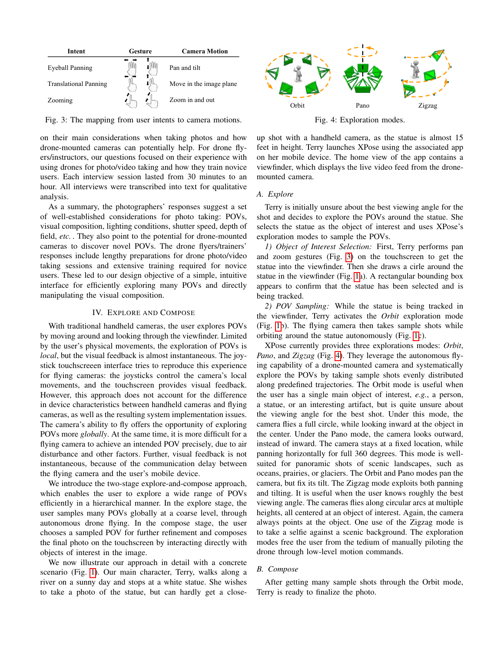<span id="page-2-1"></span>

| Intent                       | Gesture |  | <b>Camera Motion</b>     |
|------------------------------|---------|--|--------------------------|
| Eveball Panning              |         |  | Pan and tilt             |
| <b>Translational Panning</b> |         |  | Move in the image plane. |
| Zooming                      |         |  | Zoom in and out          |

Fig. 3: The mapping from user intents to camera motions.

on their main considerations when taking photos and how drone-mounted cameras can potentially help. For drone flyers/instructors, our questions focused on their experience with using drones for photo/video taking and how they train novice users. Each interview session lasted from 30 minutes to an hour. All interviews were transcribed into text for qualitative analysis.

As a summary, the photographers' responses suggest a set of well-established considerations for photo taking: POVs, visual composition, lighting conditions, shutter speed, depth of field, *etc.* . They also point to the potential for drone-mounted cameras to discover novel POVs. The drone flyers/trainers' responses include lengthy preparations for drone photo/video taking sessions and extensive training required for novice users. These led to our design objective of a simple, intuitive interface for efficiently exploring many POVs and directly manipulating the visual composition.

#### IV. EXPLORE AND COMPOSE

<span id="page-2-0"></span>With traditional handheld cameras, the user explores POVs by moving around and looking through the viewfinder. Limited by the user's physical movements, the exploration of POVs is *local*, but the visual feedback is almost instantaneous. The joystick touchscreeen interface tries to reproduce this experience for flying cameras: the joysticks control the camera's local movements, and the touchscreen provides visual feedback. However, this approach does not account for the difference in device characteristics between handheld cameras and flying cameras, as well as the resulting system implementation issues. The camera's ability to fly offers the opportunity of exploring POVs more *globally*. At the same time, it is more difficult for a flying camera to achieve an intended POV precisely, due to air disturbance and other factors. Further, visual feedback is not instantaneous, because of the communication delay between the flying camera and the user's mobile device.

We introduce the two-stage explore-and-compose approach, which enables the user to explore a wide range of POVs efficiently in a hierarchical manner. In the explore stage, the user samples many POVs globally at a coarse level, through autonomous drone flying. In the compose stage, the user chooses a sampled POV for further refinement and composes the final photo on the touchscreen by interacting directly with objects of interest in the image.

We now illustrate our approach in detail with a concrete scenario (Fig. [1\)](#page-0-1). Our main character, Terry, walks along a river on a sunny day and stops at a white statue. She wishes to take a photo of the statue, but can hardly get a close-

<span id="page-2-2"></span>

Fig. 4: Exploration modes.

up shot with a handheld camera, as the statue is almost 15 feet in height. Terry launches XPose using the associated app on her mobile device. The home view of the app contains a viewfinder, which displays the live video feed from the dronemounted camera.

# *A. Explore*

Terry is initially unsure about the best viewing angle for the shot and decides to explore the POVs around the statue. She selects the statue as the object of interest and uses XPose's exploration modes to sample the POVs.

*1) Object of Interest Selection:* First, Terry performs pan and zoom gestures (Fig. [3\)](#page-2-1) on the touchscreen to get the statue into the viewfinder. Then she draws a cirle around the statue in the viewfinder (Fig. [1a](#page-0-1)). A rectangular bounding box appears to confirm that the statue has been selected and is being tracked.

*2) POV Sampling:* While the statue is being tracked in the viewfinder, Terry activates the *Orbit* exploration mode (Fig. [1b](#page-0-1)). The flying camera then takes sample shots while orbiting around the statue autonomously (Fig. [1c](#page-0-1)).

XPose currently provides three explorations modes: *Orbit*, *Pano*, and *Zigzag* (Fig. [4\)](#page-2-2). They leverage the autonomous flying capability of a drone-mounted camera and systematically explore the POVs by taking sample shots evenly distributed along predefined trajectories. The Orbit mode is useful when the user has a single main object of interest, *e.g.*, a person, a statue, or an interesting artifact, but is quite unsure about the viewing angle for the best shot. Under this mode, the camera flies a full circle, while looking inward at the object in the center. Under the Pano mode, the camera looks outward, instead of inward. The camera stays at a fixed location, while panning horizontally for full 360 degrees. This mode is wellsuited for panoramic shots of scenic landscapes, such as oceans, prairies, or glaciers. The Orbit and Pano modes pan the camera, but fix its tilt. The Zigzag mode exploits both panning and tilting. It is useful when the user knows roughly the best viewing angle. The cameras flies along circular arcs at multiple heights, all centered at an object of interest. Again, the camera always points at the object. One use of the Zigzag mode is to take a selfie against a scenic background. The exploration modes free the user from the tedium of manually piloting the drone through low-level motion commands.

# *B. Compose*

After getting many sample shots through the Orbit mode, Terry is ready to finalize the photo.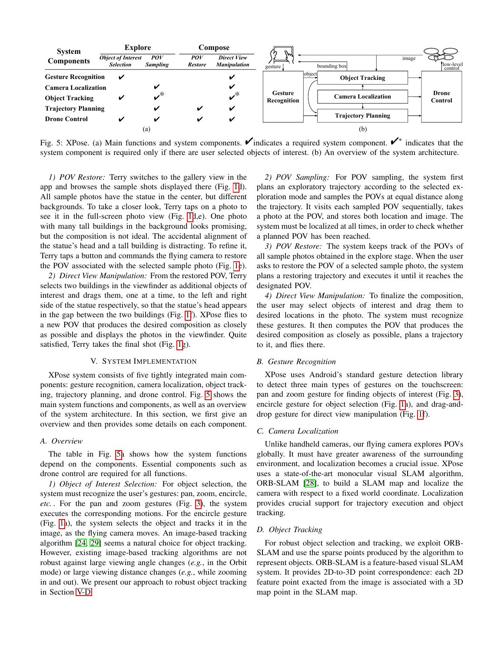<span id="page-3-1"></span>

Fig. 5: XPose. (a) Main functions and system components.  $\checkmark$  indicates a required system component.  $\checkmark$  indicates that the system component is required only if there are user selected objects of interest. (b) An overview of the system architecture.

*1) POV Restore:* Terry switches to the gallery view in the app and browses the sample shots displayed there (Fig. [1d](#page-0-1)). All sample photos have the statue in the center, but different backgrounds. To take a closer look, Terry taps on a photo to see it in the full-screen photo view (Fig. [1d](#page-0-1),e). One photo with many tall buildings in the background looks promising, but the composition is not ideal. The accidental alignment of the statue's head and a tall building is distracting. To refine it, Terry taps a button and commands the flying camera to restore the POV associated with the selected sample photo (Fig. [1e](#page-0-1)).

*2) Direct View Manipulation:* From the restored POV, Terry selects two buildings in the viewfinder as additional objects of interest and drags them, one at a time, to the left and right side of the statue respectively, so that the statue's head appears in the gap between the two buildings (Fig. [1f](#page-0-1)). XPose flies to a new POV that produces the desired composition as closely as possible and displays the photos in the viewfinder. Quite satisfied, Terry takes the final shot (Fig. [1g](#page-0-1)).

# V. SYSTEM IMPLEMENTATION

<span id="page-3-0"></span>XPose system consists of five tightly integrated main components: gesture recognition, camera localization, object tracking, trajectory planning, and drone control. Fig. [5](#page-3-1) shows the main system functions and components, as well as an overview of the system architecture. In this section, we first give an overview and then provides some details on each component.

# *A. Overview*

The table in Fig. [5a](#page-3-1) shows how the system functions depend on the components. Essential components such as drone control are required for all functions.

*1) Object of Interest Selection:* For object selection, the system must recognize the user's gestures: pan, zoom, encircle, *etc.* . For the pan and zoom gestures (Fig. [3\)](#page-2-1), the system executes the corresponding motions. For the encircle gesture (Fig. [1a](#page-0-1)), the system selects the object and tracks it in the image, as the flying camera moves. An image-based tracking algorithm [\[24,](#page-8-26) [29\]](#page-8-27) seems a natural choice for object tracking. However, existing image-based tracking algorithms are not robust against large viewing angle changes (*e.g.*, in the Orbit mode) or large viewing distance changes (*e.g.*, while zooming in and out). We present our approach to robust object tracking in Section [V-D.](#page-3-2)

*2) POV Sampling:* For POV sampling, the system first plans an exploratory trajectory according to the selected exploration mode and samples the POVs at equal distance along the trajectory. It visits each sampled POV sequentially, takes a photo at the POV, and stores both location and image. The system must be localized at all times, in order to check whether a planned POV has been reached.

*3) POV Restore:* The system keeps track of the POVs of all sample photos obtained in the explore stage. When the user asks to restore the POV of a selected sample photo, the system plans a restoring trajectory and executes it until it reaches the designated POV.

*4) Direct View Manipulation:* To finalize the composition, the user may select objects of interest and drag them to desired locations in the photo. The system must recognize these gestures. It then computes the POV that produces the desired composition as closely as possible, plans a trajectory to it, and flies there.

#### *B. Gesture Recognition*

XPose uses Android's standard gesture detection library to detect three main types of gestures on the touchscreen: pan and zoom gesture for finding objects of interest (Fig. [3\)](#page-2-1), encircle gesture for object selection (Fig. [1a](#page-0-1)), and drag-anddrop gesture for direct view manipulation (Fig. [1f](#page-0-1)).

#### *C. Camera Localization*

Unlike handheld cameras, our flying camera explores POVs globally. It must have greater awareness of the surrounding environment, and localization becomes a crucial issue. XPose uses a state-of-the-art monocular visual SLAM algorithm, ORB-SLAM [\[28\]](#page-8-4), to build a SLAM map and localize the camera with respect to a fixed world coordinate. Localization provides crucial support for trajectory execution and object tracking.

# <span id="page-3-2"></span>*D. Object Tracking*

For robust object selection and tracking, we exploit ORB-SLAM and use the sparse points produced by the algorithm to represent objects. ORB-SLAM is a feature-based visual SLAM system. It provides 2D-to-3D point correspondence: each 2D feature point exacted from the image is associated with a 3D map point in the SLAM map.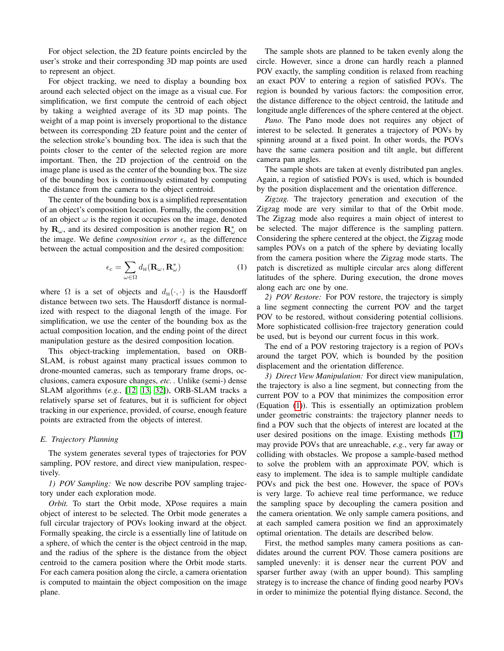For object selection, the 2D feature points encircled by the user's stroke and their corresponding 3D map points are used to represent an object.

For object tracking, we need to display a bounding box around each selected object on the image as a visual cue. For simplification, we first compute the centroid of each object by taking a weighted average of its 3D map points. The weight of a map point is inversely proportional to the distance between its corresponding 2D feature point and the center of the selection stroke's bounding box. The idea is such that the points closer to the center of the selected region are more important. Then, the 2D projection of the centroid on the image plane is used as the center of the bounding box. The size of the bounding box is continuously estimated by computing the distance from the camera to the object centroid.

The center of the bounding box is a simplified representation of an object's composition location. Formally, the composition of an object  $\omega$  is the region it occupies on the image, denoted by  $\mathbf{R}_{\omega}$ , and its desired composition is another region  $\mathbf{R}_{\omega}^*$  on the image. We define *composition error*  $\epsilon_c$  as the difference between the actual composition and the desired composition:

$$
\epsilon_{\rm c} = \sum_{\omega \in \Omega} d_{\rm H}(\mathbf{R}_{\omega}, \mathbf{R}_{\omega}^*)
$$
 (1)

where  $\Omega$  is a set of objects and  $d_H(\cdot, \cdot)$  is the Hausdorff distance between two sets. The Hausdorff distance is normalized with respect to the diagonal length of the image. For simplification, we use the center of the bounding box as the actual composition location, and the ending point of the direct manipulation gesture as the desired composition location.

This object-tracking implementation, based on ORB-SLAM, is robust against many practical issues common to drone-mounted cameras, such as temporary frame drops, occlusions, camera exposure changes, *etc.* . Unlike (semi-) dense SLAM algorithms (*e.g.*, [\[12,](#page-8-28) [13,](#page-8-29) [32\]](#page-8-30)), ORB-SLAM tracks a relatively sparse set of features, but it is sufficient for object tracking in our experience, provided, of course, enough feature points are extracted from the objects of interest.

#### *E. Trajectory Planning*

The system generates several types of trajectories for POV sampling, POV restore, and direct view manipulation, respectively.

*1) POV Sampling:* We now describe POV sampling trajectory under each exploration mode.

*Orbit.* To start the Orbit mode, XPose requires a main object of interest to be selected. The Orbit mode generates a full circular trajectory of POVs looking inward at the object. Formally speaking, the circle is a essentially line of latitude on a sphere, of which the center is the object centroid in the map, and the radius of the sphere is the distance from the object centroid to the camera position where the Orbit mode starts. For each camera position along the circle, a camera orientation is computed to maintain the object composition on the image plane.

The sample shots are planned to be taken evenly along the circle. However, since a drone can hardly reach a planned POV exactly, the sampling condition is relaxed from reaching an exact POV to entering a region of satisfied POVs. The region is bounded by various factors: the composition error, the distance difference to the object centroid, the latitude and longitude angle differences of the sphere centered at the object.

*Pano.* The Pano mode does not requires any object of interest to be selected. It generates a trajectory of POVs by spinning around at a fixed point. In other words, the POVs have the same camera position and tilt angle, but different camera pan angles.

The sample shots are taken at evenly distributed pan angles. Again, a region of satisfied POVs is used, which is bounded by the position displacement and the orientation difference.

<span id="page-4-0"></span>*Zigzag.* The trajectory generation and execution of the Zigzag mode are very similar to that of the Orbit mode. The Zigzag mode also requires a main object of interest to be selected. The major difference is the sampling pattern. Considering the sphere centered at the object, the Zigzag mode samples POVs on a patch of the sphere by deviating locally from the camera position where the Zigzag mode starts. The patch is discretized as multiple circular arcs along different latitudes of the sphere. During execution, the drone moves along each arc one by one.

*2) POV Restore:* For POV restore, the trajectory is simply a line segment connecting the current POV and the target POV to be restored, without considering potential collisions. More sophisticated collision-free trajectory generation could be used, but is beyond our current focus in this work.

The end of a POV restoring trajectory is a region of POVs around the target POV, which is bounded by the position displacement and the orientation difference.

*3) Direct View Manipulation:* For direct view manipulation, the trajectory is also a line segment, but connecting from the current POV to a POV that minimizes the composition error (Equation [\(1\)](#page-4-0)). This is essentially an optimization problem under geometric constraints: the trajectory planner needs to find a POV such that the objects of interest are located at the user desired positions on the image. Existing methods [\[17\]](#page-8-31) may provide POVs that are unreachable, *e.g.*, very far away or colliding with obstacles. We propose a sample-based method to solve the problem with an approximate POV, which is easy to implement. The idea is to sample multiple candidate POVs and pick the best one. However, the space of POVs is very large. To achieve real time performance, we reduce the sampling space by decoupling the camera position and the camera orientation. We only sample camera positions, and at each sampled camera position we find an approximately optimal orientation. The details are described below.

First, the method samples many camera positions as candidates around the current POV. Those camera positions are sampled unevenly: it is denser near the current POV and sparser further away (with an upper bound). This sampling strategy is to increase the chance of finding good nearby POVs in order to minimize the potential flying distance. Second, the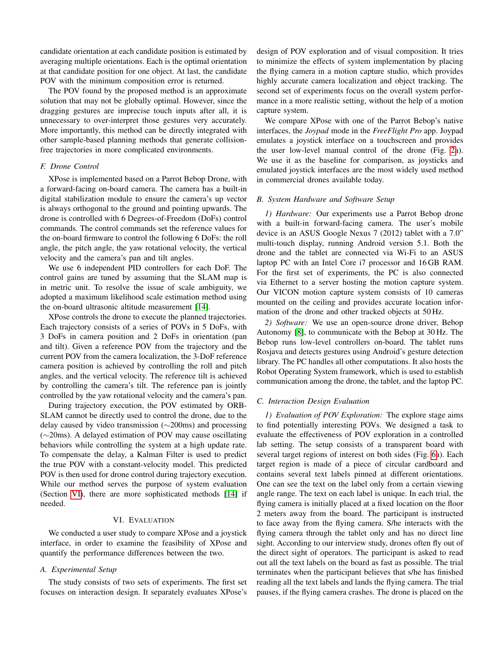candidate orientation at each candidate position is estimated by averaging multiple orientations. Each is the optimal orientation at that candidate position for one object. At last, the candidate POV with the minimum composition error is returned.

The POV found by the proposed method is an approximate solution that may not be globally optimal. However, since the dragging gestures are imprecise touch inputs after all, it is unnecessary to over-interpret those gestures very accurately. More importantly, this method can be directly integrated with other sample-based planning methods that generate collisionfree trajectories in more complicated environments.

# *F. Drone Control*

XPose is implemented based on a Parrot Bebop Drone, with a forward-facing on-board camera. The camera has a built-in digital stabilization module to ensure the camera's up vector is always orthogonal to the ground and pointing upwards. The drone is controlled with 6 Degrees-of-Freedom (DoFs) control commands. The control commands set the reference values for the on-board firmware to control the following 6 DoFs: the roll angle, the pitch angle, the yaw rotational velocity, the vertical velocity and the camera's pan and tilt angles.

We use 6 independent PID controllers for each DoF. The control gains are tuned by assuming that the SLAM map is in metric unit. To resolve the issue of scale ambiguity, we adopted a maximum likelihood scale estimation method using the on-board ultrasonic altitude measurement [\[14\]](#page-8-32).

XPose controls the drone to execute the planned trajectories. Each trajectory consists of a series of POVs in 5 DoFs, with 3 DoFs in camera position and 2 DoFs in orientation (pan and tilt). Given a reference POV from the trajectory and the current POV from the camera localization, the 3-DoF reference camera position is achieved by controlling the roll and pitch angles, and the vertical velocity. The reference tilt is achieved by controlling the camera's tilt. The reference pan is jointly controlled by the yaw rotational velocity and the camera's pan.

During trajectory execution, the POV estimated by ORB-SLAM cannot be directly used to control the drone, due to the delay caused by video transmission (∼200ms) and processing (∼20ms). A delayed estimation of POV may cause oscillating behaviors while controlling the system at a high update rate. To compensate the delay, a Kalman Filter is used to predict the true POV with a constant-velocity model. This predicted POV is then used for drone control during trajectory execution. While our method serves the purpose of system evaluation (Section [VI\)](#page-5-0), there are more sophisticated methods [\[14\]](#page-8-32) if needed.

# VI. EVALUATION

<span id="page-5-0"></span>We conducted a user study to compare XPose and a joystick interface, in order to examine the feasibility of XPose and quantify the performance differences between the two.

# *A. Experimental Setup*

The study consists of two sets of experiments. The first set focuses on interaction design. It separately evaluates XPose's design of POV exploration and of visual composition. It tries to minimize the effects of system implementation by placing the flying camera in a motion capture studio, which provides highly accurate camera localization and object tracking. The second set of experiments focus on the overall system performance in a more realistic setting, without the help of a motion capture system.

We compare XPose with one of the Parrot Bebop's native interfaces, the *Joypad* mode in the *FreeFlight Pro* app. Joypad emulates a joystick interface on a touchscreen and provides the user low-level manual control of the drone (Fig. [2a](#page-1-0)). We use it as the baseline for comparison, as joysticks and emulated joystick interfaces are the most widely used method in commercial drones available today.

## *B. System Hardware and Software Setup*

*1) Hardware:* Our experiments use a Parrot Bebop drone with a built-in forward-facing camera. The user's mobile device is an ASUS Google Nexus 7 (2012) tablet with a 7.0" multi-touch display, running Android version 5.1. Both the drone and the tablet are connected via Wi-Fi to an ASUS laptop PC with an Intel Core i7 processor and 16 GB RAM. For the first set of experiments, the PC is also connected via Ethernet to a server hosting the motion capture system. Our VICON motion capture system consists of 10 cameras mounted on the ceiling and provides accurate location information of the drone and other tracked objects at 50 Hz.

*2) Software:* We use an open-source drone driver, Bebop Autonomy [\[8\]](#page-8-33), to communicate with the Bebop at 30 Hz. The Bebop runs low-level controllers on-board. The tablet runs Rosjava and detects gestures using Android's gesture detection library. The PC handles all other computations. It also hosts the Robot Operating System framework, which is used to establish communication among the drone, the tablet, and the laptop PC.

## *C. Interaction Design Evaluation*

*1) Evaluation of POV Exploration:* The explore stage aims to find potentially interesting POVs. We designed a task to evaluate the effectiveness of POV exploration in a controlled lab setting. The setup consists of a transparent board with several target regions of interest on both sides (Fig. [6a](#page-6-0)). Each target region is made of a piece of circular cardboard and contains several text labels pinned at different orientations. One can see the text on the label only from a certain viewing angle range. The text on each label is unique. In each trial, the flying camera is initially placed at a fixed location on the floor 2 meters away from the board. The participant is instructed to face away from the flying camera. S/he interacts with the flying camera through the tablet only and has no direct line sight. According to our interview study, drones often fly out of the direct sight of operators. The participant is asked to read out all the text labels on the board as fast as possible. The trial terminates when the participant believes that s/he has finished reading all the text labels and lands the flying camera. The trial pauses, if the flying camera crashes. The drone is placed on the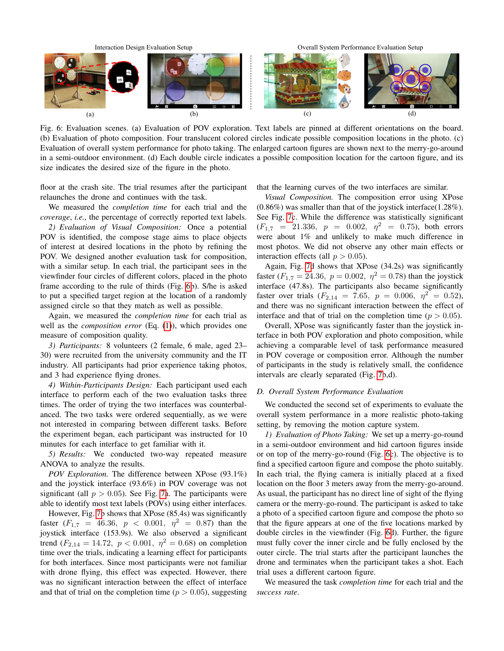<span id="page-6-0"></span>

Fig. 6: Evaluation scenes. (a) Evaluation of POV exploration. Text labels are pinned at different orientations on the board. (b) Evaluation of photo composition. Four translucent colored circles indicate possible composition locations in the photo. (c) Evaluation of overall system performance for photo taking. The enlarged cartoon figures are shown next to the merry-go-around in a semi-outdoor environment. (d) Each double circle indicates a possible composition location for the cartoon figure, and its size indicates the desired size of the figure in the photo.

floor at the crash site. The trial resumes after the participant relaunches the drone and continues with the task.

We measured the *completion time* for each trial and the *coverage*, *i.e.*, the percentage of correctly reported text labels.

*2) Evaluation of Visual Composition:* Once a potential POV is identified, the compose stage aims to place objects of interest at desired locations in the photo by refining the POV. We designed another evaluation task for composition, with a similar setup. In each trial, the participant sees in the viewfinder four circles of different colors, placed in the photo frame according to the rule of thirds (Fig. [6b](#page-6-0)). S/he is asked to put a specified target region at the location of a randomly assigned circle so that they match as well as possible.

Again, we measured the *completion time* for each trial as well as the *composition error* (Eq. [\(1\)](#page-4-0)), which provides one measure of composition quality.

*3) Participants:* 8 volunteers (2 female, 6 male, aged 23– 30) were recruited from the university community and the IT industry. All participants had prior experience taking photos, and 3 had experience flying drones.

*4) Within-Participants Design:* Each participant used each interface to perform each of the two evaluation tasks three times. The order of trying the two interfaces was counterbalanced. The two tasks were ordered sequentially, as we were not interested in comparing between different tasks. Before the experiment began, each participant was instructed for 10 minutes for each interface to get familiar with it.

*5) Results:* We conducted two-way repeated measure ANOVA to analyze the results.

*POV Exploration.* The difference between XPose (93.1%) and the joystick interface (93.6%) in POV coverage was not significant (all  $p > 0.05$ ). See Fig. [7a](#page-7-1). The participants were able to identify most text labels (POVs) using either interfaces.

However, Fig. [7b](#page-7-1) shows that XPose (85.4s) was significantly faster  $(F_{1,7} = 46.36, p < 0.001, \eta^2 = 0.87)$  than the joystick interface (153.9s). We also observed a significant trend  $(F_{2,14} = 14.72, p < 0.001, \eta^2 = 0.68)$  on completion time over the trials, indicating a learning effect for participants for both interfaces. Since most participants were not familiar with drone flying, this effect was expected. However, there was no significant interaction between the effect of interface and that of trial on the completion time ( $p > 0.05$ ), suggesting that the learning curves of the two interfaces are similar.

*Visual Composition.* The composition error using XPose (0.86%) was smaller than that of the joystick interface(1.28%). See Fig. [7c](#page-7-1). While the difference was statistically significant  $(F_{1,7} = 21.336, p = 0.002, \eta^2 = 0.75)$ , both errors were about 1% and unlikely to make much difference in most photos. We did not observe any other main effects or interaction effects (all  $p > 0.05$ ).

Again, Fig. [7d](#page-7-1) shows that XPose (34.2s) was significantly faster ( $F_{1,7} = 24.36$ ,  $p = 0.002$ ,  $\eta^2 = 0.78$ ) than the joystick interface (47.8s). The participants also became significantly faster over trials  $(F_{2,14} = 7.65, p = 0.006, \eta^2 = 0.52)$ , and there was no significant interaction between the effect of interface and that of trial on the completion time ( $p > 0.05$ ).

Overall, XPose was significantly faster than the joystick interface in both POV exploration and photo composition, while achieving a comparable level of task performance measured in POV coverage or composition error. Although the number of participants in the study is relatively small, the confidence intervals are clearly separated (Fig. [7b](#page-7-1),d).

## *D. Overall System Performance Evaluation*

We conducted the second set of experiments to evaluate the overall system performance in a more realistic photo-taking setting, by removing the motion capture system.

*1) Evaluation of Photo Taking:* We set up a merry-go-round in a semi-outdoor environment and hid cartoon figures inside or on top of the merry-go-round (Fig. [6c](#page-6-0)). The objective is to find a specified cartoon figure and compose the photo suitably. In each trial, the flying camera is initially placed at a fixed location on the floor 3 meters away from the merry-go-around. As usual, the participant has no direct line of sight of the flying camera or the merry-go-round. The participant is asked to take a photo of a specified cartoon figure and compose the photo so that the figure appears at one of the five locations marked by double circles in the viewfinder (Fig. [6d](#page-6-0)). Further, the figure must fully cover the inner circle and be fully enclosed by the outer circle. The trial starts after the participant launches the drone and terminates when the participant takes a shot. Each trial uses a different cartoon figure.

We measured the task *completion time* for each trial and the *success rate*.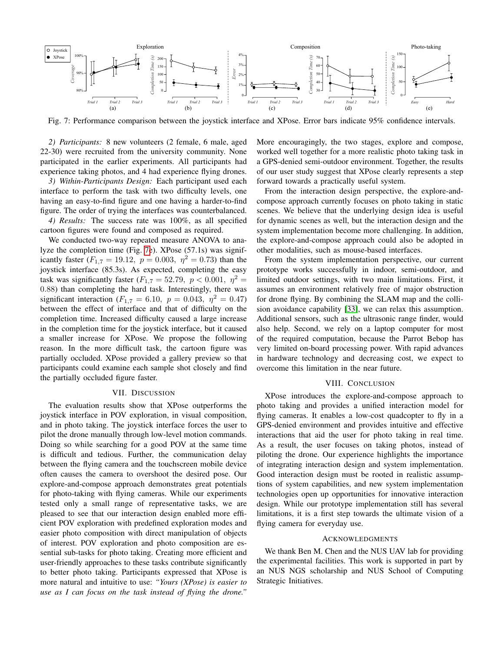<span id="page-7-1"></span>

Fig. 7: Performance comparison between the joystick interface and XPose. Error bars indicate 95% confidence intervals.

*2) Participants:* 8 new volunteers (2 female, 6 male, aged 22-30) were recruited from the university community. None participated in the earlier experiments. All participants had experience taking photos, and 4 had experience flying drones.

*3) Within-Participants Design:* Each participant used each interface to perform the task with two difficulty levels, one having an easy-to-find figure and one having a harder-to-find figure. The order of trying the interfaces was counterbalanced.

*4) Results:* The success rate was 100%, as all specified cartoon figures were found and composed as required.

We conducted two-way repeated measure ANOVA to analyze the completion time (Fig. [7e](#page-7-1)). XPose (57.1s) was significantly faster ( $F_{1,7} = 19.12$ ,  $p = 0.003$ ,  $\eta^2 = 0.73$ ) than the joystick interface (85.3s). As expected, completing the easy task was significantly faster  $(F_{1,7} = 52.79, p < 0.001, \eta^2 =$ 0.88) than completing the hard task. Interestingly, there was significant interaction ( $F_{1,7} = 6.10$ ,  $p = 0.043$ ,  $\eta^2 = 0.47$ ) between the effect of interface and that of difficulty on the completion time. Increased difficulty caused a large increase in the completion time for the joystick interface, but it caused a smaller increase for XPose. We propose the following reason. In the more difficult task, the cartoon figure was partially occluded. XPose provided a gallery preview so that participants could examine each sample shot closely and find the partially occluded figure faster.

# VII. DISCUSSION

<span id="page-7-0"></span>The evaluation results show that XPose outperforms the joystick interface in POV exploration, in visual composition, and in photo taking. The joystick interface forces the user to pilot the drone manually through low-level motion commands. Doing so while searching for a good POV at the same time is difficult and tedious. Further, the communication delay between the flying camera and the touchscreen mobile device often causes the camera to overshoot the desired pose. Our explore-and-compose approach demonstrates great potentials for photo-taking with flying cameras. While our experiments tested only a small range of representative tasks, we are pleased to see that our interaction design enabled more efficient POV exploration with predefined exploration modes and easier photo composition with direct manipulation of objects of interest. POV exploration and photo composition are essential sub-tasks for photo taking. Creating more efficient and user-friendly approaches to these tasks contribute significantly to better photo taking. Participants expressed that XPose is more natural and intuitive to use: *"Yours (XPose) is easier to use as I can focus on the task instead of flying the drone."*

More encouragingly, the two stages, explore and compose, worked well together for a more realistic photo taking task in a GPS-denied semi-outdoor environment. Together, the results of our user study suggest that XPose clearly represents a step forward towards a practically useful system.

From the interaction design perspective, the explore-andcompose approach currently focuses on photo taking in static scenes. We believe that the underlying design idea is useful for dynamic scenes as well, but the interaction design and the system implementation become more challenging. In addition, the explore-and-compose approach could also be adopted in other modalities, such as mouse-based interfaces.

From the system implementation perspective, our current prototype works successfully in indoor, semi-outdoor, and limited outdoor settings, with two main limitations. First, it assumes an environment relatively free of major obstruction for drone flying. By combining the SLAM map and the collision avoidance capability [\[33\]](#page-8-34), we can relax this assumption. Additional sensors, such as the ultrasonic range finder, would also help. Second, we rely on a laptop computer for most of the required computation, because the Parrot Bebop has very limited on-board processing power. With rapid advances in hardware technology and decreasing cost, we expect to overcome this limitation in the near future.

# VIII. CONCLUSION

XPose introduces the explore-and-compose approach to photo taking and provides a unified interaction model for flying cameras. It enables a low-cost quadcopter to fly in a GPS-denied environment and provides intuitive and effective interactions that aid the user for photo taking in real time. As a result, the user focuses on taking photos, instead of piloting the drone. Our experience highlights the importance of integrating interaction design and system implementation. Good interaction design must be rooted in realistic assumptions of system capabilities, and new system implementation technologies open up opportunities for innovative interaction design. While our prototype implementation still has several limitations, it is a first step towards the ultimate vision of a flying camera for everyday use.

### ACKNOWLEDGMENTS

We thank Ben M. Chen and the NUS UAV lab for providing the experimental facilities. This work is supported in part by an NUS NGS scholarship and NUS School of Computing Strategic Initiatives.